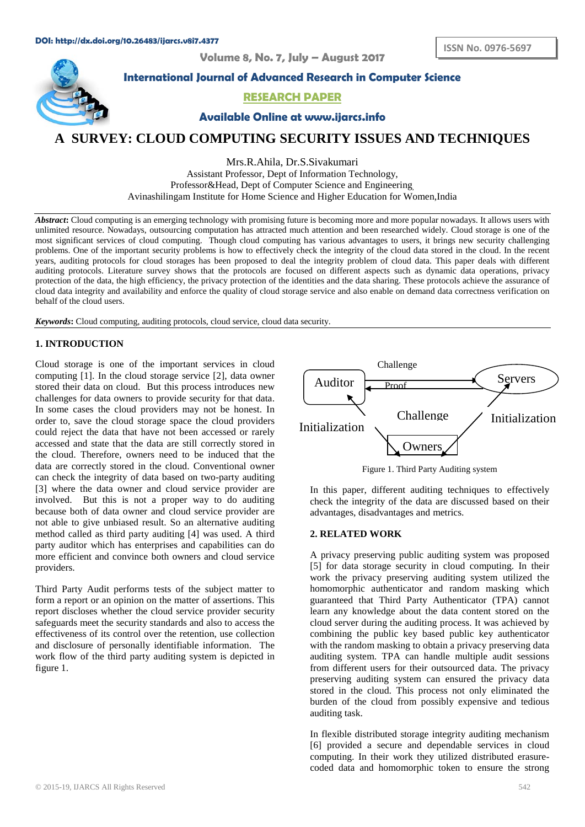**Volume 8, No. 7, July – August 2017**



**International Journal of Advanced Research in Computer Science**

## **RESEARCH PAPER**

**Available Online at www.ijarcs.info**

# **A SURVEY: CLOUD COMPUTING SECURITY ISSUES AND TECHNIQUES**

Mrs.R.Ahila, Dr.S.Sivakumari Assistant Professor, Dept of Information Technology, Professor&Head, Dept of Computer Science and Engineering, Avinashilingam Institute for Home Science and Higher Education for Women,India

Abstract: Cloud computing is an emerging technology with promising future is becoming more and more popular nowadays. It allows users with unlimited resource. Nowadays, outsourcing computation has attracted much attention and been researched widely. Cloud storage is one of the most significant services of cloud computing. Though cloud computing has various advantages to users, it brings new security challenging problems. One of the important security problems is how to effectively check the integrity of the cloud data stored in the cloud. In the recent years, auditing protocols for cloud storages has been proposed to deal the integrity problem of cloud data. This paper deals with different auditing protocols. Literature survey shows that the protocols are focused on different aspects such as dynamic data operations, privacy protection of the data, the high efficiency, the privacy protection of the identities and the data sharing. These protocols achieve the assurance of cloud data integrity and availability and enforce the quality of cloud storage service and also enable on demand data correctness verification on behalf of the cloud users.

*Keywords***:** Cloud computing, auditing protocols, cloud service, cloud data security.

## **1. INTRODUCTION**

Cloud storage is one of the important services in cloud computing [1]. In the cloud storage service [2], data owner stored their data on cloud. But this process introduces new challenges for data owners to provide security for that data. In some cases the cloud providers may not be honest. In order to, save the cloud storage space the cloud providers could reject the data that have not been accessed or rarely accessed and state that the data are still correctly stored in the cloud. Therefore, owners need to be induced that the data are correctly stored in the cloud. Conventional owner can check the integrity of data based on two-party auditing [3] where the data owner and cloud service provider are involved. But this is not a proper way to do auditing because both of data owner and cloud service provider are not able to give unbiased result. So an alternative auditing method called as third party auditing [4] was used. A third party auditor which has enterprises and capabilities can do more efficient and convince both owners and cloud service providers.

Third Party Audit performs tests of the subject matter to form a report or an opinion on the matter of assertions. This report discloses whether the cloud service provider security safeguards meet the security standards and also to access the effectiveness of its control over the retention, use collection and disclosure of personally identifiable information. The work flow of the third party auditing system is depicted in figure 1.



Figure 1. Third Party Auditing system

In this paper, different auditing techniques to effectively check the integrity of the data are discussed based on their advantages, disadvantages and metrics.

#### **2. RELATED WORK**

A privacy preserving public auditing system was proposed [5] for data storage security in cloud computing. In their work the privacy preserving auditing system utilized the homomorphic authenticator and random masking which guaranteed that Third Party Authenticator (TPA) cannot learn any knowledge about the data content stored on the cloud server during the auditing process. It was achieved by combining the public key based public key authenticator with the random masking to obtain a privacy preserving data auditing system. TPA can handle multiple audit sessions from different users for their outsourced data. The privacy preserving auditing system can ensured the privacy data stored in the cloud. This process not only eliminated the burden of the cloud from possibly expensive and tedious auditing task.

In flexible distributed storage integrity auditing mechanism [6] provided a secure and dependable services in cloud computing. In their work they utilized distributed erasurecoded data and homomorphic token to ensure the strong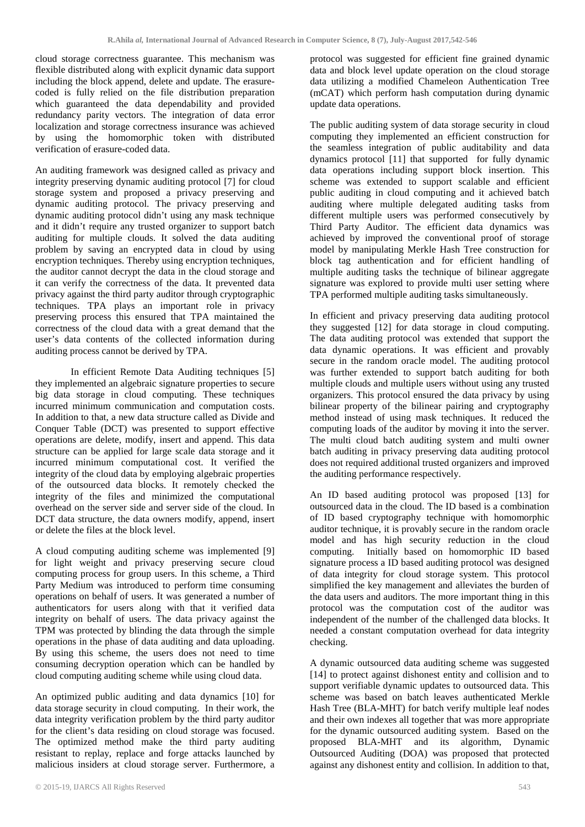cloud storage correctness guarantee. This mechanism was flexible distributed along with explicit dynamic data support including the block append, delete and update. The erasurecoded is fully relied on the file distribution preparation which guaranteed the data dependability and provided redundancy parity vectors. The integration of data error localization and storage correctness insurance was achieved by using the homomorphic token with distributed verification of erasure-coded data.

An auditing framework was designed called as privacy and integrity preserving dynamic auditing protocol [7] for cloud storage system and proposed a privacy preserving and dynamic auditing protocol. The privacy preserving and dynamic auditing protocol didn't using any mask technique and it didn't require any trusted organizer to support batch auditing for multiple clouds. It solved the data auditing problem by saving an encrypted data in cloud by using encryption techniques. Thereby using encryption techniques, the auditor cannot decrypt the data in the cloud storage and it can verify the correctness of the data. It prevented data privacy against the third party auditor through cryptographic techniques. TPA plays an important role in privacy preserving process this ensured that TPA maintained the correctness of the cloud data with a great demand that the user's data contents of the collected information during auditing process cannot be derived by TPA.

In efficient Remote Data Auditing techniques [5] they implemented an algebraic signature properties to secure big data storage in cloud computing. These techniques incurred minimum communication and computation costs. In addition to that, a new data structure called as Divide and Conquer Table (DCT) was presented to support effective operations are delete, modify, insert and append. This data structure can be applied for large scale data storage and it incurred minimum computational cost. It verified the integrity of the cloud data by employing algebraic properties of the outsourced data blocks. It remotely checked the integrity of the files and minimized the computational overhead on the server side and server side of the cloud. In DCT data structure, the data owners modify, append, insert or delete the files at the block level.

A cloud computing auditing scheme was implemented [9] for light weight and privacy preserving secure cloud computing process for group users. In this scheme, a Third Party Medium was introduced to perform time consuming operations on behalf of users. It was generated a number of authenticators for users along with that it verified data integrity on behalf of users. The data privacy against the TPM was protected by blinding the data through the simple operations in the phase of data auditing and data uploading. By using this scheme, the users does not need to time consuming decryption operation which can be handled by cloud computing auditing scheme while using cloud data.

An optimized public auditing and data dynamics [10] for data storage security in cloud computing. In their work, the data integrity verification problem by the third party auditor for the client's data residing on cloud storage was focused. The optimized method make the third party auditing resistant to replay, replace and forge attacks launched by malicious insiders at cloud storage server. Furthermore, a

protocol was suggested for efficient fine grained dynamic data and block level update operation on the cloud storage data utilizing a modified Chameleon Authentication Tree (mCAT) which perform hash computation during dynamic update data operations.

The public auditing system of data storage security in cloud computing they implemented an efficient construction for the seamless integration of public auditability and data dynamics protocol [11] that supported for fully dynamic data operations including support block insertion. This scheme was extended to support scalable and efficient public auditing in cloud computing and it achieved batch auditing where multiple delegated auditing tasks from different multiple users was performed consecutively by Third Party Auditor. The efficient data dynamics was achieved by improved the conventional proof of storage model by manipulating Merkle Hash Tree construction for block tag authentication and for efficient handling of multiple auditing tasks the technique of bilinear aggregate signature was explored to provide multi user setting where TPA performed multiple auditing tasks simultaneously.

In efficient and privacy preserving data auditing protocol they suggested [12] for data storage in cloud computing. The data auditing protocol was extended that support the data dynamic operations. It was efficient and provably secure in the random oracle model. The auditing protocol was further extended to support batch auditing for both multiple clouds and multiple users without using any trusted organizers. This protocol ensured the data privacy by using bilinear property of the bilinear pairing and cryptography method instead of using mask techniques. It reduced the computing loads of the auditor by moving it into the server. The multi cloud batch auditing system and multi owner batch auditing in privacy preserving data auditing protocol does not required additional trusted organizers and improved the auditing performance respectively.

An ID based auditing protocol was proposed [13] for outsourced data in the cloud. The ID based is a combination of ID based cryptography technique with homomorphic auditor technique, it is provably secure in the random oracle model and has high security reduction in the cloud computing. Initially based on homomorphic ID based signature process a ID based auditing protocol was designed of data integrity for cloud storage system. This protocol simplified the key management and alleviates the burden of the data users and auditors. The more important thing in this protocol was the computation cost of the auditor was independent of the number of the challenged data blocks. It needed a constant computation overhead for data integrity checking.

A dynamic outsourced data auditing scheme was suggested [14] to protect against dishonest entity and collision and to support verifiable dynamic updates to outsourced data. This scheme was based on batch leaves authenticated Merkle Hash Tree (BLA-MHT) for batch verify multiple leaf nodes and their own indexes all together that was more appropriate for the dynamic outsourced auditing system. Based on the proposed BLA-MHT and its algorithm, Dynamic Outsourced Auditing (DOA) was proposed that protected against any dishonest entity and collision. In addition to that,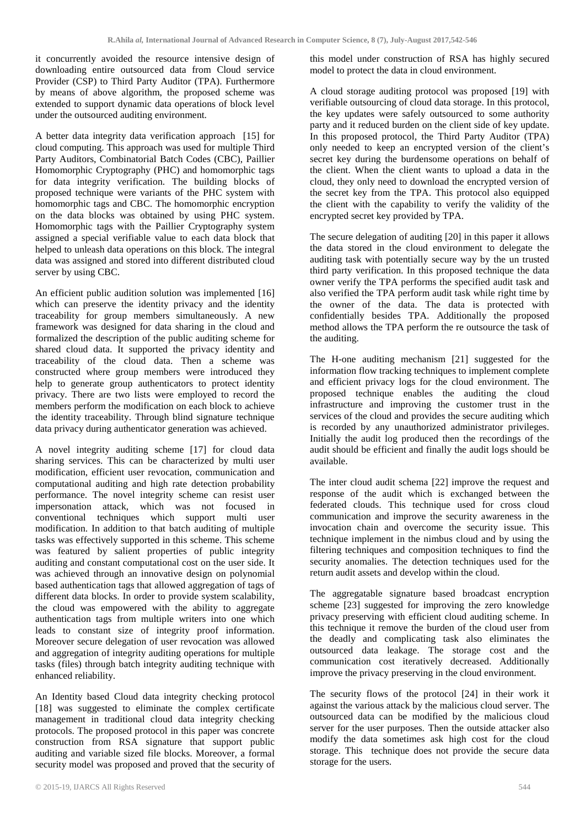it concurrently avoided the resource intensive design of downloading entire outsourced data from Cloud service Provider (CSP) to Third Party Auditor (TPA). Furthermore by means of above algorithm, the proposed scheme was extended to support dynamic data operations of block level under the outsourced auditing environment.

A better data integrity data verification approach [15] for cloud computing. This approach was used for multiple Third Party Auditors, Combinatorial Batch Codes (CBC), Paillier Homomorphic Cryptography (PHC) and homomorphic tags for data integrity verification. The building blocks of proposed technique were variants of the PHC system with homomorphic tags and CBC. The homomorphic encryption on the data blocks was obtained by using PHC system. Homomorphic tags with the Paillier Cryptography system assigned a special verifiable value to each data block that helped to unleash data operations on this block. The integral data was assigned and stored into different distributed cloud server by using CBC.

An efficient public audition solution was implemented [16] which can preserve the identity privacy and the identity traceability for group members simultaneously. A new framework was designed for data sharing in the cloud and formalized the description of the public auditing scheme for shared cloud data. It supported the privacy identity and traceability of the cloud data. Then a scheme was constructed where group members were introduced they help to generate group authenticators to protect identity privacy. There are two lists were employed to record the members perform the modification on each block to achieve the identity traceability. Through blind signature technique data privacy during authenticator generation was achieved.

A novel integrity auditing scheme [17] for cloud data sharing services. This can be characterized by multi user modification, efficient user revocation, communication and computational auditing and high rate detection probability performance. The novel integrity scheme can resist user impersonation attack, which was not focused in conventional techniques which support multi user modification. In addition to that batch auditing of multiple tasks was effectively supported in this scheme. This scheme was featured by salient properties of public integrity auditing and constant computational cost on the user side. It was achieved through an innovative design on polynomial based authentication tags that allowed aggregation of tags of different data blocks. In order to provide system scalability, the cloud was empowered with the ability to aggregate authentication tags from multiple writers into one which leads to constant size of integrity proof information. Moreover secure delegation of user revocation was allowed and aggregation of integrity auditing operations for multiple tasks (files) through batch integrity auditing technique with enhanced reliability.

An Identity based Cloud data integrity checking protocol [18] was suggested to eliminate the complex certificate management in traditional cloud data integrity checking protocols. The proposed protocol in this paper was concrete construction from RSA signature that support public auditing and variable sized file blocks. Moreover, a formal security model was proposed and proved that the security of this model under construction of RSA has highly secured model to protect the data in cloud environment.

A cloud storage auditing protocol was proposed [19] with verifiable outsourcing of cloud data storage. In this protocol, the key updates were safely outsourced to some authority party and it reduced burden on the client side of key update. In this proposed protocol, the Third Party Auditor (TPA) only needed to keep an encrypted version of the client's secret key during the burdensome operations on behalf of the client. When the client wants to upload a data in the cloud, they only need to download the encrypted version of the secret key from the TPA. This protocol also equipped the client with the capability to verify the validity of the encrypted secret key provided by TPA.

The secure delegation of auditing [20] in this paper it allows the data stored in the cloud environment to delegate the auditing task with potentially secure way by the un trusted third party verification. In this proposed technique the data owner verify the TPA performs the specified audit task and also verified the TPA perform audit task while right time by the owner of the data. The data is protected with confidentially besides TPA. Additionally the proposed method allows the TPA perform the re outsource the task of the auditing.

The H-one auditing mechanism [21] suggested for the information flow tracking techniques to implement complete and efficient privacy logs for the cloud environment. The proposed technique enables the auditing the cloud infrastructure and improving the customer trust in the services of the cloud and provides the secure auditing which is recorded by any unauthorized administrator privileges. Initially the audit log produced then the recordings of the audit should be efficient and finally the audit logs should be available.

The inter cloud audit schema [22] improve the request and response of the audit which is exchanged between the federated clouds. This technique used for cross cloud communication and improve the security awareness in the invocation chain and overcome the security issue. This technique implement in the nimbus cloud and by using the filtering techniques and composition techniques to find the security anomalies. The detection techniques used for the return audit assets and develop within the cloud.

The aggregatable signature based broadcast encryption scheme [23] suggested for improving the zero knowledge privacy preserving with efficient cloud auditing scheme. In this technique it remove the burden of the cloud user from the deadly and complicating task also eliminates the outsourced data leakage. The storage cost and the communication cost iteratively decreased. Additionally improve the privacy preserving in the cloud environment.

The security flows of the protocol [24] in their work it against the various attack by the malicious cloud server. The outsourced data can be modified by the malicious cloud server for the user purposes. Then the outside attacker also modify the data sometimes ask high cost for the cloud storage. This technique does not provide the secure data storage for the users.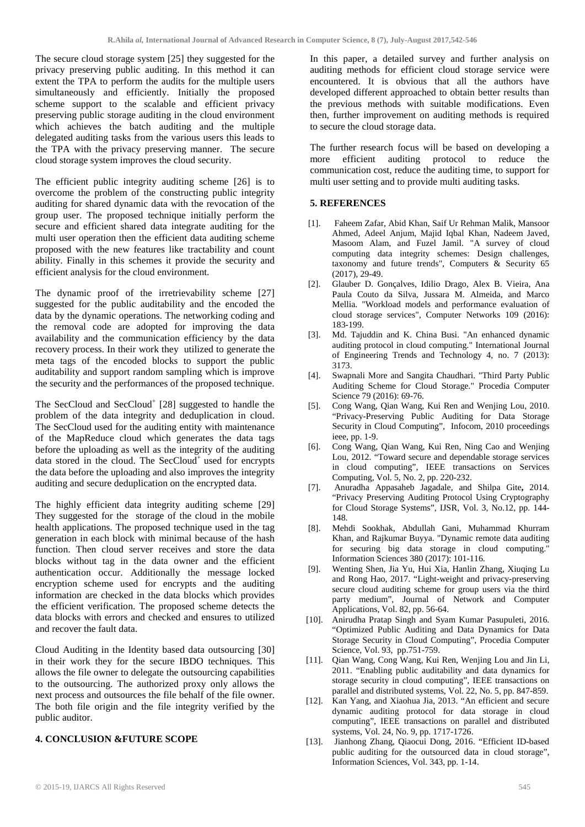The secure cloud storage system [25] they suggested for the privacy preserving public auditing. In this method it can extent the TPA to perform the audits for the multiple users simultaneously and efficiently. Initially the proposed scheme support to the scalable and efficient privacy preserving public storage auditing in the cloud environment which achieves the batch auditing and the multiple delegated auditing tasks from the various users this leads to the TPA with the privacy preserving manner. The secure cloud storage system improves the cloud security.

The efficient public integrity auditing scheme [26] is to overcome the problem of the constructing public integrity auditing for shared dynamic data with the revocation of the group user. The proposed technique initially perform the secure and efficient shared data integrate auditing for the multi user operation then the efficient data auditing scheme proposed with the new features like tractability and count ability. Finally in this schemes it provide the security and efficient analysis for the cloud environment.

The dynamic proof of the irretrievability scheme [27] suggested for the public auditability and the encoded the data by the dynamic operations. The networking coding and the removal code are adopted for improving the data availability and the communication efficiency by the data recovery process. In their work they utilized to generate the meta tags of the encoded blocks to support the public auditability and support random sampling which is improve the security and the performances of the proposed technique.

The SecCloud and SecCloud<sup>+</sup> [28] suggested to handle the problem of the data integrity and deduplication in cloud. The SecCloud used for the auditing entity with maintenance of the MapReduce cloud which generates the data tags before the uploading as well as the integrity of the auditing data stored in the cloud. The  $SecCloud<sup>+</sup>$  used for encrypts the data before the uploading and also improves the integrity auditing and secure deduplication on the encrypted data.

The highly efficient data integrity auditing scheme [29] They suggested for the storage of the cloud in the mobile health applications. The proposed technique used in the tag generation in each block with minimal because of the hash function. Then cloud server receives and store the data blocks without tag in the data owner and the efficient authentication occur. Additionally the message locked encryption scheme used for encrypts and the auditing information are checked in the data blocks which provides the efficient verification. The proposed scheme detects the data blocks with errors and checked and ensures to utilized and recover the fault data.

Cloud Auditing in the Identity based data outsourcing [30] in their work they for the secure IBDO techniques. This allows the file owner to delegate the outsourcing capabilities to the outsourcing. The authorized proxy only allows the next process and outsources the file behalf of the file owner. The both file origin and the file integrity verified by the public auditor.

## **4. CONCLUSION &FUTURE SCOPE**

In this paper, a detailed survey and further analysis on auditing methods for efficient cloud storage service were encountered. It is obvious that all the authors have developed different approached to obtain better results than the previous methods with suitable modifications. Even then, further improvement on auditing methods is required to secure the cloud storage data.

The further research focus will be based on developing a more efficient auditing protocol to reduce the communication cost, reduce the auditing time, to support for multi user setting and to provide multi auditing tasks.

## **5. REFERENCES**

- [1]. Faheem Zafar, Abid Khan, Saif Ur Rehman Malik, Mansoor Ahmed, Adeel Anjum, Majid Iqbal Khan, Nadeem Javed, Masoom Alam, and Fuzel Jamil. "A survey of cloud computing data integrity schemes: Design challenges, taxonomy and future trends", Computers & Security 65 (2017), 29-49.
- [2]. Glauber D. Gonçalves, Idilio Drago, Alex B. Vieira, Ana Paula Couto da Silva, Jussara M. Almeida, and Marco Mellia. "Workload models and performance evaluation of cloud storage services", Computer Networks 109 (2016): 183-199.
- [3]. Md. Tajuddin and K. China Busi. "An enhanced dynamic auditing protocol in cloud computing." International Journal of Engineering Trends and Technology 4, no. 7 (2013): 3173.
- [4]. Swapnali More and Sangita Chaudhari. "Third Party Public Auditing Scheme for Cloud Storage." Procedia Computer Science 79 (2016): 69-76.
- [5]. Cong Wang, Qian Wang, Kui Ren and Wenjing Lou, 2010. "Privacy-Preserving Public Auditing for Data Storage Security in Cloud Computing", Infocom, 2010 proceedings ieee, pp. 1-9.
- [6]. Cong Wang, Qian Wang, Kui Ren, Ning Cao and Wenjing Lou, 2012. "Toward secure and dependable storage services in cloud computing", IEEE transactions on Services Computing, Vol. 5, No. 2, pp. 220-232.
- [7]. Anuradha Appasaheb Jagadale, and Shilpa Gite**,** 2014. "Privacy Preserving Auditing Protocol Using Cryptography for Cloud Storage Systems", IJSR, Vol. 3, No.12, pp. 144- 148.
- [8]. Mehdi Sookhak, Abdullah Gani, Muhammad Khurram Khan, and Rajkumar Buyya. "Dynamic remote data auditing for securing big data storage in cloud computing." Information Sciences 380 (2017): 101-116.
- [9]. Wenting Shen, Jia Yu, Hui Xia, Hanlin Zhang, Xiuqing Lu and Rong Hao, 2017. "Light-weight and privacy-preserving secure cloud auditing scheme for group users via the third party medium", Journal of Network and Computer Applications, Vol. 82, pp. 56-64.
- [10]. Anirudha Pratap Singh and Syam Kumar Pasupuleti, 2016. "Optimized Public Auditing and Data Dynamics for Data Storage Security in Cloud Computing", Procedia Computer Science, Vol. 93, pp.751-759.
- [11]. Qian Wang, Cong Wang, Kui Ren, Wenjing Lou and Jin Li, 2011. "Enabling public auditability and data dynamics for storage security in cloud computing", IEEE transactions on parallel and distributed systems, Vol. 22, No. 5, pp. 847-859.
- [12]. Kan Yang, and Xiaohua Jia, 2013. "An efficient and secure dynamic auditing protocol for data storage in cloud computing", IEEE transactions on parallel and distributed systems, Vol. 24, No. 9, pp. 1717-1726.
- [13]. Jianhong Zhang, Qiaocui Dong, 2016. "Efficient ID-based public auditing for the outsourced data in cloud storage", Information Sciences, Vol. 343, pp. 1-14.